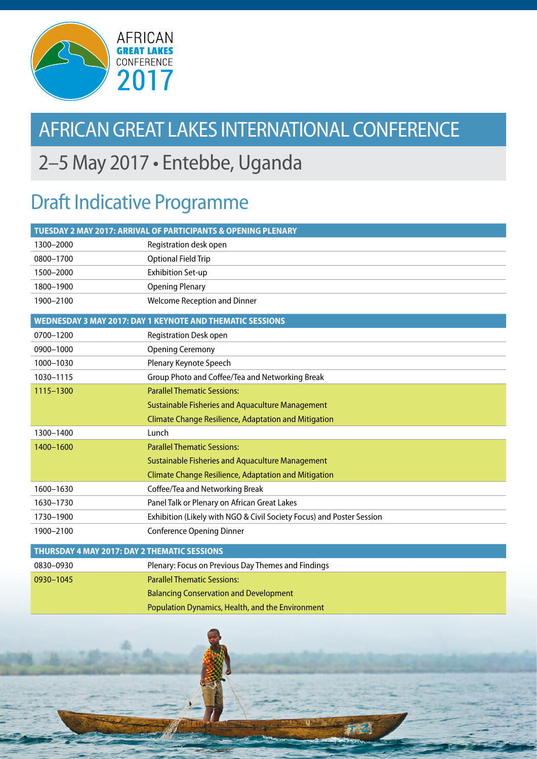

## AFRICAN GREAT LAKES INTERNATIONAL CONFERENCE

## 2–5 May 2017 • Entebbe, Uganda

## Draft Indicative Programme

| TUESDAY 2 MAY 2017: ARRIVAL OF PARTICIPANTS & OPENING PLENARY |                                                                       |  |
|---------------------------------------------------------------|-----------------------------------------------------------------------|--|
| 1300-2000                                                     | Registration desk open                                                |  |
| 0800-1700                                                     | Optional Field Trip                                                   |  |
| 1500-2000                                                     | <b>Exhibition Set-up</b>                                              |  |
| 1800-1900                                                     | <b>Opening Plenary</b>                                                |  |
| 1900-2100                                                     | <b>Welcome Reception and Dinner</b>                                   |  |
|                                                               | WEDNESDAY 3 MAY 2017: DAY 1 KEYNOTE AND THEMATIC SESSIONS             |  |
| 0700-1200                                                     | <b>Registration Desk open</b>                                         |  |
| 0900-1000                                                     | <b>Opening Ceremony</b>                                               |  |
| 1000-1030                                                     | Plenary Keynote Speech                                                |  |
| 1030-1115                                                     | Group Photo and Coffee/Tea and Networking Break                       |  |
| 1115-1300                                                     | <b>Parallel Thematic Sessions:</b>                                    |  |
|                                                               | Sustainable Fisheries and Aquaculture Management                      |  |
|                                                               | <b>Climate Change Resilience, Adaptation and Mitigation</b>           |  |
| 1300-1400                                                     | Lunch                                                                 |  |
| 1400-1600                                                     | <b>Parallel Thematic Sessions:</b>                                    |  |
|                                                               | Sustainable Fisheries and Aquaculture Management                      |  |
|                                                               | <b>Climate Change Resilience, Adaptation and Mitigation</b>           |  |
| 1600-1630                                                     | Coffee/Tea and Networking Break                                       |  |
| 1630-1730                                                     | Panel Talk or Plenary on African Great Lakes                          |  |
| 1730-1900                                                     | Exhibition (Likely with NGO & Civil Society Focus) and Poster Session |  |
| 1900-2100                                                     | <b>Conference Opening Dinner</b>                                      |  |
| THURSDAY 4 MAY 2017: DAY 2 THEMATIC SESSIONS                  |                                                                       |  |
| 0830-0930                                                     | Plenary: Focus on Previous Day Themes and Findings                    |  |